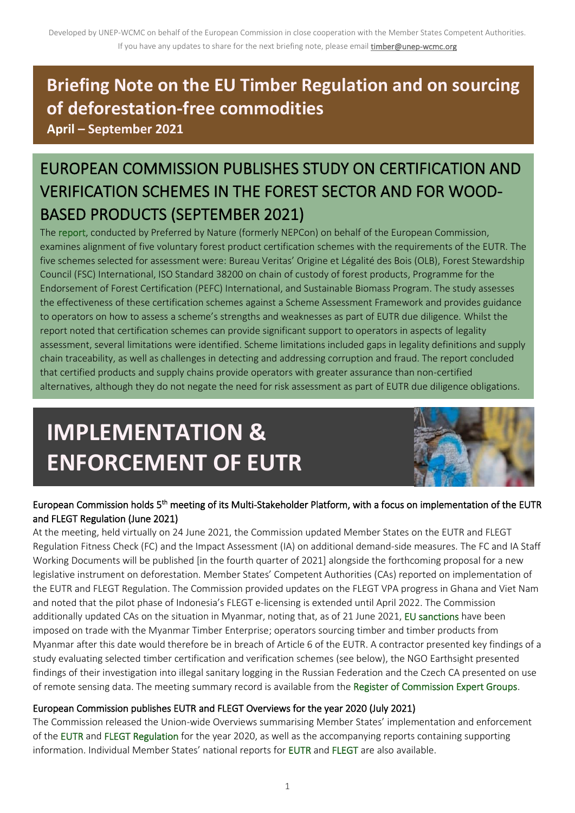# **Briefing Note on the EU Timber Regulation and on sourcing of deforestation-free commodities**

**April – September 2021**

# EUROPEAN COMMISSION PUBLISHES STUDY ON CERTIFICATION AND VERIFICATION SCHEMES IN THE FOREST SECTOR AND FOR WOOD-BASED PRODUCTS (SEPTEMBER 2021)

The report, conducted by Preferred by Nature (formerly NEPCon) on behalf of the European Commission, examines alignment of five voluntary forest product certification schemes with the requirements of the EUTR. The five schemes selected for assessment were: Bureau Veritas' Origine et Légalité des Bois (OLB), Forest Stewardship Council (FSC) International, ISO Standard 38200 on chain of custody of forest products, Programme for the Endorsement of Forest Certification (PEFC) International, and Sustainable Biomass Program. The study assesses the effectiveness of these certification schemes against a Scheme Assessment Framework and provides guidance to operators on how to assess a scheme's strengths and weaknesses as part of EUTR due diligence. Whilst the report noted that certification schemes can provide significant support to operators in aspects of legality assessment, several limitations were identified. Scheme limitations included gaps in legality definitions and supply chain traceability, as well as challenges in detecting and addressing corruption and fraud. The report concluded that certified products and supply chains provide operators with greater assurance than non-certified alternatives, although they do not negate the need for risk assessment as part of EUTR due diligence obligations.

# **IMPLEMENTATION & ENFORCEMENT OF EUTR**



# European Commission holds 5<sup>th</sup> meeting of its Multi-Stakeholder Platform, with a focus on implementation of the EUTR and FLEGT Regulation (June 2021)

At the meeting, held virtually on 24 June 2021, the Commission updated Member States on the EUTR and FLEGT Regulation Fitness Check (FC) and the Impact Assessment (IA) on additional demand-side measures. The FC and IA Staff Working Documents will be published [in the fourth quarter of 2021] alongside the forthcoming proposal for a new legislative instrument on deforestation. Member States' Competent Authorities (CAs) reported on implementation of the EUTR and FLEGT Regulation. The Commission provided updates on the FLEGT VPA progress in Ghana and Viet Nam and noted that the pilot phase of Indonesia's FLEGT e-licensing is extended until April 2022. The Commission additionally updated CAs on the situation in Myanmar, noting that, as of 21 June 2021, EU sanctions have been imposed on trade with the Myanmar Timber Enterprise; operators sourcing timber and timber products from Myanmar after this date would therefore be in breach of Article 6 of the EUTR. A contractor presented key findings of a study evaluating selected timber certification and verification schemes (see below), the NGO Earthsight presented findings of their investigation into illegal sanitary logging in the Russian Federation and the Czech CA presented on use of remote sensing data. The meeting summary record is available from the Register of Commission Expert Groups.

# European Commission publishes EUTR and FLEGT Overviews for the year 2020 (July 2021)

The Commission released the Union-wide Overviews summarising Member States' implementation and enforcement of the EUTR and FLEGT Regulation for the year 2020, as well as the accompanying reports containing supporting information. Individual Member States' national reports for EUTR and FLEGT are also available.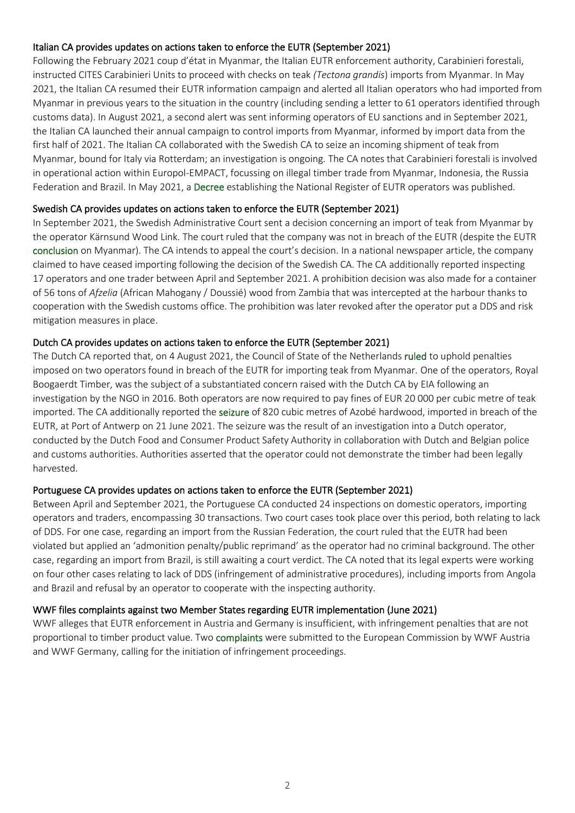### Italian CA provides updates on actions taken to enforce the EUTR (September 2021)

Following the February 2021 coup d'état in Myanmar, the Italian EUTR enforcement authority, Carabinieri forestali, instructed CITES Carabinieri Units to proceed with checks on teak *(Tectona grandis*) imports from Myanmar. In May 2021, the Italian CA resumed their EUTR information campaign and alerted all Italian operators who had imported from Myanmar in previous years to the situation in the country (including sending a letter to 61 operators identified through customs data). In August 2021, a second alert was sent informing operators of EU sanctions and in September 2021, the Italian CA launched their annual campaign to control imports from Myanmar, informed by import data from the first half of 2021. The Italian CA collaborated with the Swedish CA to seize an incoming shipment of teak from Myanmar, bound for Italy via Rotterdam; an investigation is ongoing. The CA notes that Carabinieri forestali is involved in operational action within Europol-EMPACT, focussing on illegal timber trade from Myanmar, Indonesia, the Russia Federation and Brazil. In May 2021, a Decree establishing the National Register of EUTR operators was published.

### Swedish CA provides updates on actions taken to enforce the EUTR (September 2021)

In September 2021, the Swedish Administrative Court sent a decision concerning an import of teak from Myanmar by the operator Kärnsund Wood Link. The court ruled that the company was not in breach of the EUTR (despite the EUTR conclusion on Myanmar). The CA intends to appeal the court's decision. In a national newspaper article, the company claimed to have ceased importing following the decision of the Swedish CA. The CA additionally reported inspecting 17 operators and one trader between April and September 2021. A prohibition decision was also made for a container of 56 tons of *Afzelia* (African Mahogany / Doussié) wood from Zambia that was intercepted at the harbour thanks to cooperation with the Swedish customs office. The prohibition was later revoked after the operator put a DDS and risk mitigation measures in place.

### Dutch CA provides updates on actions taken to enforce the EUTR (September 2021)

The Dutch CA reported that, on 4 August 2021, the Council of State of the Netherlands ruled to uphold penalties imposed on two operators found in breach of the EUTR for importing teak from Myanmar. One of the operators, Royal Boogaerdt Timber, was the subject of a substantiated concern raised with the Dutch CA by EIA following an investigation by the NGO in 2016. Both operators are now required to pay fines of EUR 20 000 per cubic metre of teak imported. The CA additionally reported the seizure of 820 cubic metres of Azobé hardwood, imported in breach of the EUTR, at Port of Antwerp on 21 June 2021. The seizure was the result of an investigation into a Dutch operator, conducted by the Dutch Food and Consumer Product Safety Authority in collaboration with Dutch and Belgian police and customs authorities. Authorities asserted that the operator could not demonstrate the timber had been legally harvested.

### Portuguese CA provides updates on actions taken to enforce the EUTR (September 2021)

Between April and September 2021, the Portuguese CA conducted 24 inspections on domestic operators, importing operators and traders, encompassing 30 transactions. Two court cases took place over this period, both relating to lack of DDS. For one case, regarding an import from the Russian Federation, the court ruled that the EUTR had been violated but applied an 'admonition penalty/public reprimand' as the operator had no criminal background. The other case, regarding an import from Brazil, is still awaiting a court verdict. The CA noted that its legal experts were working on four other cases relating to lack of DDS (infringement of administrative procedures), including imports from Angola and Brazil and refusal by an operator to cooperate with the inspecting authority.

### WWF files complaints against two Member States regarding EUTR implementation (June 2021)

WWF alleges that EUTR enforcement in Austria and Germany is insufficient, with infringement penalties that are not proportional to timber product value. Two complaints were submitted to the European Commission by WWF Austria and WWF Germany, calling for the initiation of infringement proceedings.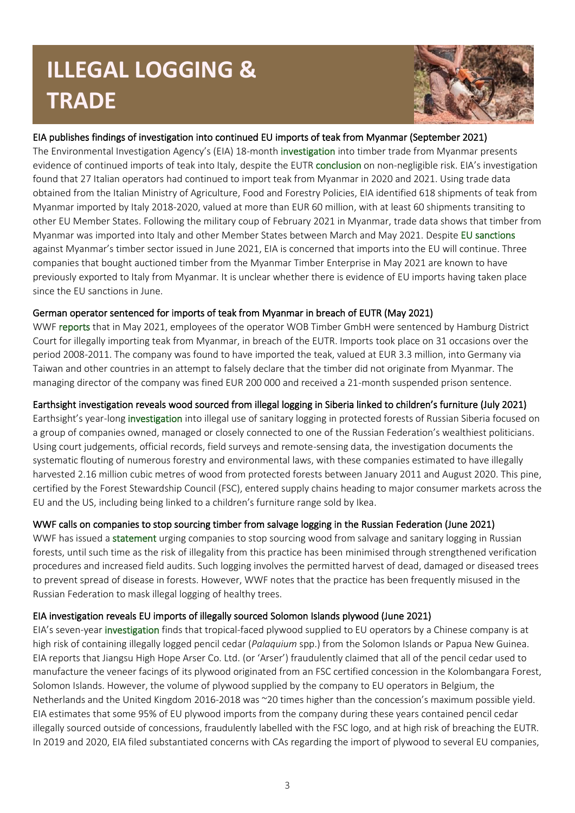# **ILLEGAL LOGGING & TRADE**



# EIA publishes findings of investigation into continued EU imports of teak from Myanmar (September 2021)

The Environmental Investigation Agency's (EIA) 18-month investigation into timber trade from Myanmar presents evidence of continued imports of teak into Italy, despite the EUTR conclusion on non-negligible risk. EIA's investigation found that 27 Italian operators had continued to import teak from Myanmar in 2020 and 2021. Using trade data obtained from the Italian Ministry of Agriculture, Food and Forestry Policies, EIA identified 618 shipments of teak from Myanmar imported by Italy 2018-2020, valued at more than EUR 60 million, with at least 60 shipments transiting to other EU Member States. Following the military coup of February 2021 in Myanmar, trade data shows that timber from Myanmar was imported into Italy and other Member States between March and May 2021. Despite EU sanctions against Myanmar's timber sector issued in June 2021, EIA is concerned that imports into the EU will continue. Three companies that bought auctioned timber from the Myanmar Timber Enterprise in May 2021 are known to have previously exported to Italy from Myanmar. It is unclear whether there is evidence of EU imports having taken place since the EU sanctions in June.

# German operator sentenced for imports of teak from Myanmar in breach of EUTR (May 2021)

WWF reports that in May 2021, employees of the operator WOB Timber GmbH were sentenced by Hamburg District Court for illegally importing teak from Myanmar, in breach of the EUTR. Imports took place on 31 occasions over the period 2008-2011. The company was found to have imported the teak, valued at EUR 3.3 million, into Germany via Taiwan and other countries in an attempt to falsely declare that the timber did not originate from Myanmar. The managing director of the company was fined EUR 200 000 and received a 21-month suspended prison sentence.

# Earthsight investigation reveals wood sourced from illegal logging in Siberia linked to children's furniture (July 2021)

Earthsight's year-long investigation into illegal use of sanitary logging in protected forests of Russian Siberia focused on a group of companies owned, managed or closely connected to one of the Russian Federation's wealthiest politicians. Using court judgements, official records, field surveys and remote-sensing data, the investigation documents the systematic flouting of numerous forestry and environmental laws, with these companies estimated to have illegally harvested 2.16 million cubic metres of wood from protected forests between January 2011 and August 2020. This pine, certified by the Forest Stewardship Council (FSC), entered supply chains heading to major consumer markets across the EU and the US, including being linked to a children's furniture range sold by Ikea.

### WWF calls on companies to stop sourcing timber from salvage logging in the Russian Federation (June 2021)

WWF has issued a statement urging companies to stop sourcing wood from salvage and sanitary logging in Russian forests, until such time as the risk of illegality from this practice has been minimised through strengthened verification procedures and increased field audits. Such logging involves the permitted harvest of dead, damaged or diseased trees to prevent spread of disease in forests. However, WWF notes that the practice has been frequently misused in the Russian Federation to mask illegal logging of healthy trees.

### EIA investigation reveals EU imports of illegally sourced Solomon Islands plywood (June 2021)

EIA's seven-year investigation finds that tropical-faced plywood supplied to EU operators by a Chinese company is at high risk of containing illegally logged pencil cedar (*Palaquium* spp.) from the Solomon Islands or Papua New Guinea. EIA reports that Jiangsu High Hope Arser Co. Ltd. (or 'Arser') fraudulently claimed that all of the pencil cedar used to manufacture the veneer facings of its plywood originated from an FSC certified concession in the Kolombangara Forest, Solomon Islands. However, the volume of plywood supplied by the company to EU operators in Belgium, the Netherlands and the United Kingdom 2016-2018 was ~20 times higher than the concession's maximum possible yield. EIA estimates that some 95% of EU plywood imports from the company during these years contained pencil cedar illegally sourced outside of concessions, fraudulently labelled with the FSC logo, and at high risk of breaching the EUTR. In 2019 and 2020, EIA filed substantiated concerns with CAs regarding the import of plywood to several EU companies,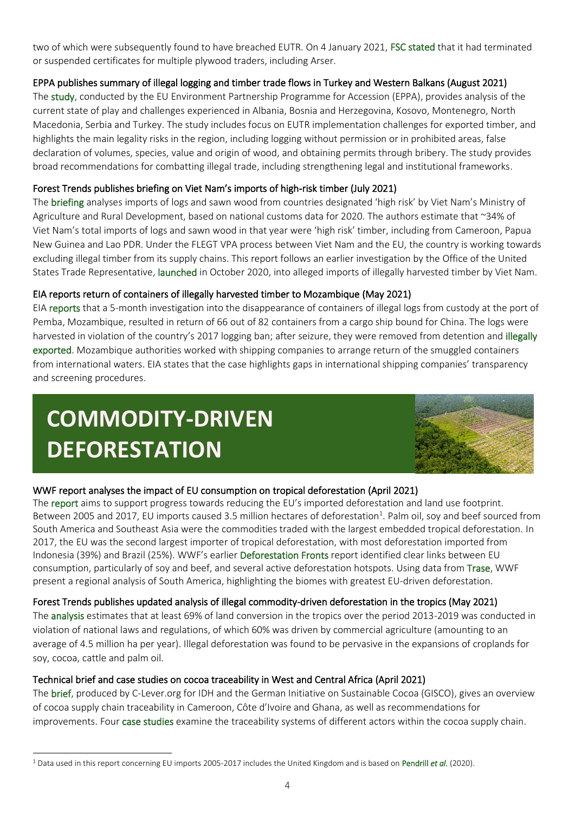two of which were subsequently found to have breached EUTR. On 4 January 2021, FSC stated that it had terminated or suspended certificates for multiple plywood traders, including Arser.

# EPPA publishes summary of illegal logging and timber trade flows in Turkey and Western Balkans (August 2021)

The study, conducted by the EU Environment Partnership Programme for Accession (EPPA), provides analysis of the current state of play and challenges experienced in Albania, Bosnia and Herzegovina, Kosovo, Montenegro, North Macedonia, Serbia and Turkey. The study includes focus on EUTR implementation challenges for exported timber, and highlights the main legality risks in the region, including logging without permission or in prohibited areas, false declaration of volumes, species, value and origin of wood, and obtaining permits through bribery. The study provides broad recommendations for combatting illegal trade, including strengthening legal and institutional frameworks.

### Forest Trends publishes briefing on Viet Nam's imports of high-risk timber (July 2021)

The briefing analyses imports of logs and sawn wood from countries designated 'high risk' by Viet Nam's Ministry of Agriculture and Rural Development, based on national customs data for 2020. The authors estimate that ~34% of Viet Nam's total imports of logs and sawn wood in that year were 'high risk' timber, including from Cameroon, Papua New Guinea and Lao PDR. Under the FLEGT VPA process between Viet Nam and the EU, the country is working towards excluding illegal timber from its supply chains. This report follows an earlier investigation by the Office of the United States Trade Representative, launched in October 2020, into alleged imports of illegally harvested timber by Viet Nam.

### EIA reports return of containers of illegally harvested timber to Mozambique (May 2021)

EIA reports that a 5-month investigation into the disappearance of containers of illegal logs from custody at the port of Pemba, Mozambique, resulted in return of 66 out of 82 containers from a cargo ship bound for China. The logs were harvested in violation of the country's 2017 logging ban; after seizure, they were removed from detention and illegally exported. Mozambique authorities worked with shipping companies to arrange return of the smuggled containers from international waters. EIA states that the case highlights gaps in international shipping companies' transparency and screening procedures.

# **COMMODITY-DRIVEN DEFORESTATION**



# WWF report analyses the impact of EU consumption on tropical deforestation (April 2021)

The report aims to support progress towards reducing the EU's imported deforestation and land use footprint. Between 2005 and 2017, EU imports caused 3.5 million hectares of deforestation<sup>1</sup>. Palm oil, soy and beef sourced from South America and Southeast Asia were the commodities traded with the largest embedded tropical deforestation. In 2017, the EU was the second largest importer of tropical deforestation, with most deforestation imported from Indonesia (39%) and Brazil (25%). WWF's earlier Deforestation Fronts report identified clear links between EU consumption, particularly of soy and beef, and several active deforestation hotspots. Using data from Trase, WWF present a regional analysis of South America, highlighting the biomes with greatest EU-driven deforestation.

### Forest Trends publishes updated analysis of illegal commodity-driven deforestation in the tropics (May 2021)

The analysis estimates that at least 69% of land conversion in the tropics over the period 2013-2019 was conducted in violation of national laws and regulations, of which 60% was driven by commercial agriculture (amounting to an average of 4.5 million ha per year). Illegal deforestation was found to be pervasive in the expansions of croplands for soy, cocoa, cattle and palm oil.

### Technical brief and case studies on cocoa traceability in West and Central Africa (April 2021)

The brief, produced by C-Lever.org for IDH and the German Initiative on Sustainable Cocoa (GISCO), gives an overview of cocoa supply chain traceability in Cameroon, Côte d'Ivoire and Ghana, as well as recommendations for improvements. Four case studies examine the traceability systems of different actors within the cocoa supply chain.

<sup>1</sup> Data used in this report concerning EU imports 2005-2017 includes the United Kingdom and is based on Pendrill *et al*. (2020).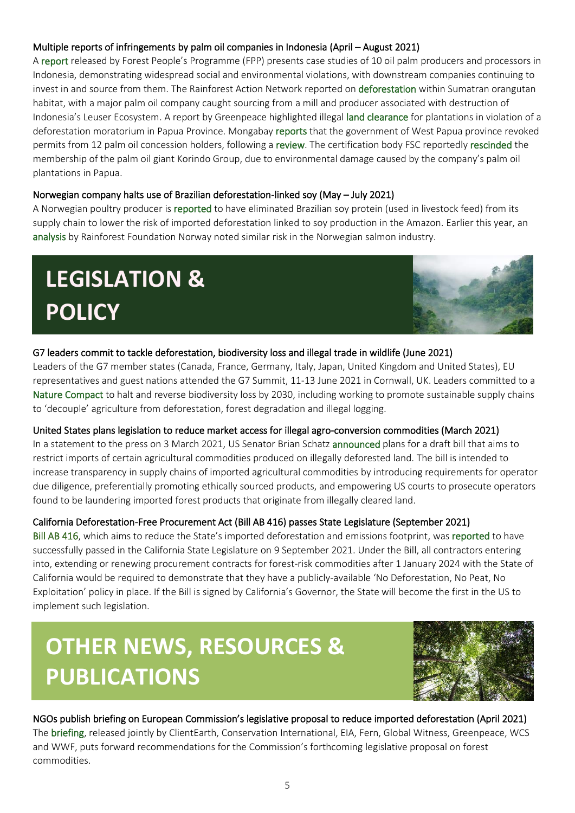# Multiple reports of infringements by palm oil companies in Indonesia (April – August 2021)

A report released by Forest People's Programme (FPP) presents case studies of 10 oil palm producers and processors in Indonesia, demonstrating widespread social and environmental violations, with downstream companies continuing to invest in and source from them. The Rainforest Action Network reported on deforestation within Sumatran orangutan habitat, with a major palm oil company caught sourcing from a mill and producer associated with destruction of Indonesia's Leuser Ecosystem. A report by Greenpeace highlighted illegal land clearance for plantations in violation of a deforestation moratorium in Papua Province. Mongabay reports that the government of West Papua province revoked permits from 12 palm oil concession holders, following a review. The certification body FSC reportedly rescinded the membership of the palm oil giant Korindo Group, due to environmental damage caused by the company's palm oil plantations in Papua.

# Norwegian company halts use of Brazilian deforestation-linked soy (May – July 2021)

A Norwegian poultry producer is reported to have eliminated Brazilian soy protein (used in livestock feed) from its supply chain to lower the risk of imported deforestation linked to soy production in the Amazon. Earlier this year, an analysis by Rainforest Foundation Norway noted similar risk in the Norwegian salmon industry.

# **LEGISLATION & POLICY**



# G7 leaders commit to tackle deforestation, biodiversity loss and illegal trade in wildlife (June 2021)

Leaders of the G7 member states (Canada, France, Germany, Italy, Japan, United Kingdom and United States), EU representatives and guest nations attended the G7 Summit, 11-13 June 2021 in Cornwall, UK. Leaders committed to a Nature Compact to halt and reverse biodiversity loss by 2030, including working to promote sustainable supply chains to 'decouple' agriculture from deforestation, forest degradation and illegal logging.

# United States plans legislation to reduce market access for illegal agro-conversion commodities (March 2021)

In a statement to the press on 3 March 2021, US Senator Brian Schatz announced plans for a draft bill that aims to restrict imports of certain agricultural commodities produced on illegally deforested land. The bill is intended to increase transparency in supply chains of imported agricultural commodities by introducing requirements for operator due diligence, preferentially promoting ethically sourced products, and empowering US courts to prosecute operators found to be laundering imported forest products that originate from illegally cleared land.

# California Deforestation-Free Procurement Act (Bill AB 416) passes State Legislature (September 2021)

Bill AB 416, which aims to reduce the State's imported deforestation and emissions footprint, was reported to have successfully passed in the California State Legislature on 9 September 2021. Under the Bill, all contractors entering into, extending or renewing procurement contracts for forest-risk commodities after 1 January 2024 with the State of California would be required to demonstrate that they have a publicly-available 'No Deforestation, No Peat, No Exploitation' policy in place. If the Bill is signed by California's Governor, the State will become the first in the US to implement such legislation.

# **OTHER NEWS, RESOURCES & PUBLICATIONS**



# NGOs publish briefing on European Commission's legislative proposal to reduce imported deforestation (April 2021) The briefing, released jointly by ClientEarth, Conservation International, EIA, Fern, Global Witness, Greenpeace, WCS and WWF, puts forward recommendations for the Commission's forthcoming legislative proposal on forest commodities.